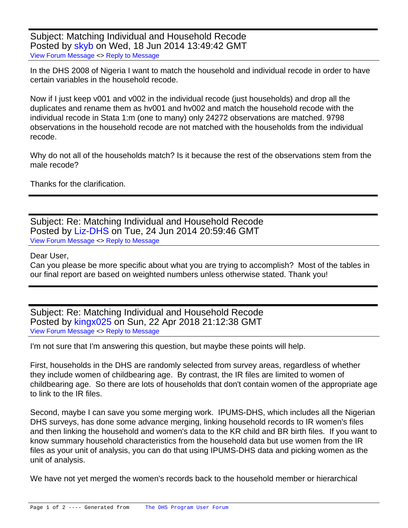Subject: Matching Individual and Household Recode Posted by [skyb](https://userforum.dhsprogram.com/index.php?t=usrinfo&id=1910) on Wed, 18 Jun 2014 13:49:42 GMT [View Forum Message](https://userforum.dhsprogram.com/index.php?t=rview&th=1359&goto=2438#msg_2438) <> [Reply to Message](https://userforum.dhsprogram.com/index.php?t=post&reply_to=2438)

In the DHS 2008 of Nigeria I want to match the household and individual recode in order to have certain variables in the household recode.

Now if I just keep v001 and v002 in the individual recode (just households) and drop all the duplicates and rename them as hv001 and hv002 and match the household recode with the individual recode in Stata 1:m (one to many) only 24272 observations are matched. 9798 observations in the household recode are not matched with the households from the individual recode.

Why do not all of the households match? Is it because the rest of the observations stem from the male recode?

Thanks for the clarification.

Subject: Re: Matching Individual and Household Recode Posted by [Liz-DHS](https://userforum.dhsprogram.com/index.php?t=usrinfo&id=9) on Tue, 24 Jun 2014 20:59:46 GMT [View Forum Message](https://userforum.dhsprogram.com/index.php?t=rview&th=1359&goto=2472#msg_2472) <> [Reply to Message](https://userforum.dhsprogram.com/index.php?t=post&reply_to=2472)

## Dear User,

Can you please be more specific about what you are trying to accomplish? Most of the tables in our final report are based on weighted numbers unless otherwise stated. Thank you!

Subject: Re: Matching Individual and Household Recode Posted by [kingx025](https://userforum.dhsprogram.com/index.php?t=usrinfo&id=4260) on Sun, 22 Apr 2018 21:12:38 GMT [View Forum Message](https://userforum.dhsprogram.com/index.php?t=rview&th=1359&goto=14613#msg_14613) <> [Reply to Message](https://userforum.dhsprogram.com/index.php?t=post&reply_to=14613)

I'm not sure that I'm answering this question, but maybe these points will help.

First, households in the DHS are randomly selected from survey areas, regardless of whether they include women of childbearing age. By contrast, the IR files are limited to women of childbearing age. So there are lots of households that don't contain women of the appropriate age to link to the IR files.

Second, maybe I can save you some merging work. IPUMS-DHS, which includes all the Nigerian DHS surveys, has done some advance merging, linking household records to IR women's files and then linking the household and women's data to the KR child and BR birth files. If you want to know summary household characteristics from the household data but use women from the IR files as your unit of analysis, you can do that using IPUMS-DHS data and picking women as the unit of analysis.

We have not yet merged the women's records back to the household member or hierarchical